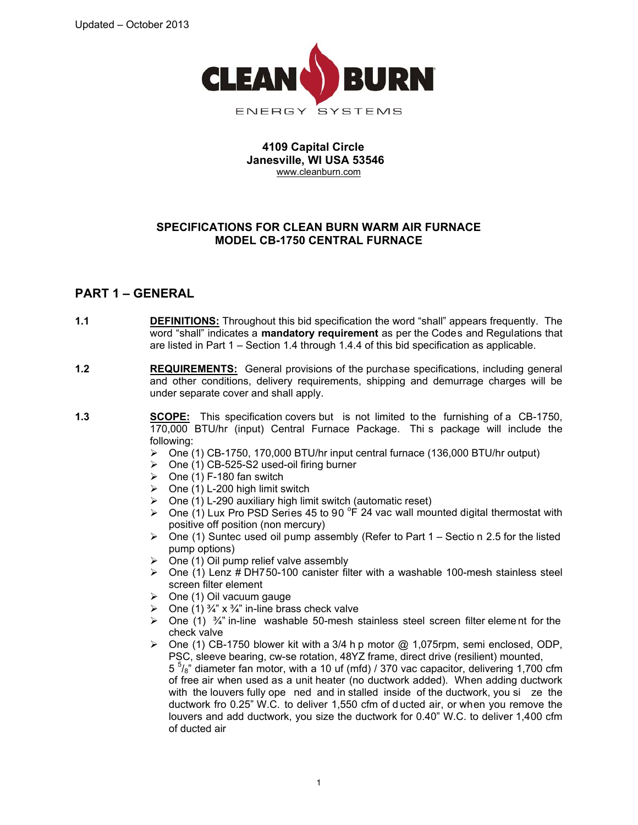

### **4109 Capital Circle Janesville, WI USA 53546**  www.cleanburn.com

## **SPECIFICATIONS FOR CLEAN BURN WARM AIR FURNACE MODEL CB-1750 CENTRAL FURNACE**

# **PART 1 – GENERAL**

- **1.1 DEFINITIONS:** Throughout this bid specification the word "shall" appears frequently. The word "shall" indicates a **mandatory requirement** as per the Codes and Regulations that are listed in Part 1 – Section 1.4 through 1.4.4 of this bid specification as applicable.
- **1.2 REQUIREMENTS:** General provisions of the purchase specifications, including general and other conditions, delivery requirements, shipping and demurrage charges will be under separate cover and shall apply.
- **1.3 SCOPE:** This specification covers but is not limited to the furnishing of a CB-1750, 170,000 BTU/hr (input) Central Furnace Package. Thi s package will include the following:
	- ¾ One (1) CB-1750, 170,000 BTU/hr input central furnace (136,000 BTU/hr output)
	- $\triangleright$  One (1) CB-525-S2 used-oil firing burner
	- $\geq$  One (1) F-180 fan switch
	- $\geq$  One (1) L-200 high limit switch
	- $\triangleright$  One (1) L-290 auxiliary high limit switch (automatic reset)
	- ▶ One (1) Lux Pro PSD Series 45 to 90  $^{\circ}$ F 24 vac wall mounted digital thermostat with positive off position (non mercury)
	- $\triangleright$  One (1) Suntec used oil pump assembly (Refer to Part 1 Sectio n 2.5 for the listed pump options)
	- $\triangleright$  One (1) Oil pump relief valve assembly
	- $\triangleright$  One (1) Lenz # DH750-100 canister filter with a washable 100-mesh stainless steel screen filter element
	- $\triangleright$  One (1) Oil vacuum gauge
	- $\triangleright$  One (1)  $\frac{3}{4}$ " x  $\frac{3}{4}$ " in-line brass check valve
	- $\triangleright$  One (1)  $\frac{3}{4}$ " in-line washable 50-mesh stainless steel screen filter element for the check valve
	- ¾ One (1) CB-1750 blower kit with a 3/4 h p motor @ 1,075rpm, semi enclosed, ODP, PSC, sleeve bearing, cw-se rotation, 48YZ frame, direct drive (resilient) mounted,  $5<sup>5</sup>/<sub>8</sub>$ " diameter fan motor, with a 10 uf (mfd) / 370 vac capacitor, delivering 1,700 cfm of free air when used as a unit heater (no ductwork added). When adding ductwork with the louvers fully ope ned and in stalled inside of the ductwork, you si ze the ductwork fro 0.25" W.C. to deliver 1,550 cfm of d ucted air, or when you remove the louvers and add ductwork, you size the ductwork for 0.40" W.C. to deliver 1,400 cfm of ducted air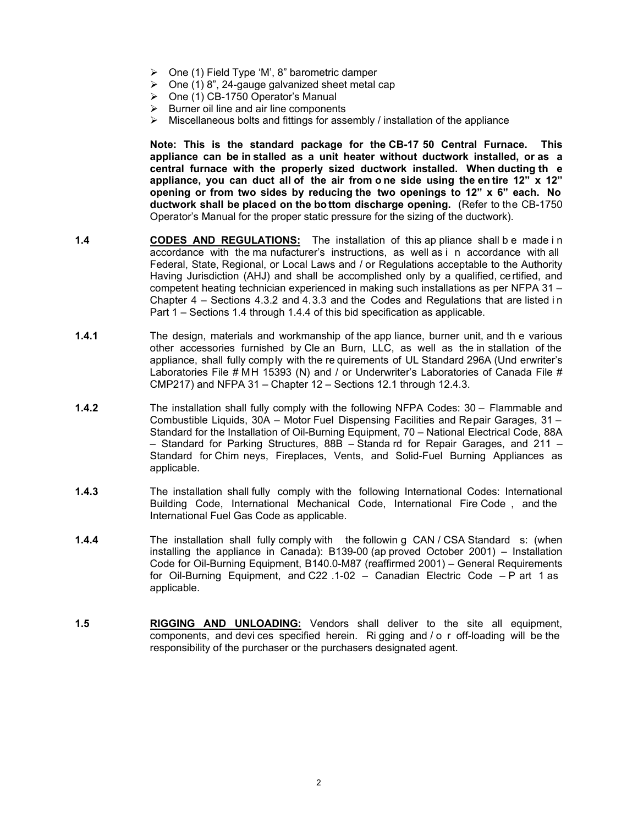- $\triangleright$  One (1) Field Type 'M', 8" barometric damper
- $\geq$  One (1) 8", 24-gauge galvanized sheet metal cap
- ¾ One (1) CB-1750 Operator's Manual
- $\triangleright$  Burner oil line and air line components
- $\triangleright$  Miscellaneous bolts and fittings for assembly / installation of the appliance

**Note: This is the standard package for the CB-17 50 Central Furnace. This appliance can be in stalled as a unit heater without ductwork installed, or as a central furnace with the properly sized ductwork installed. When ducting th e appliance, you can duct all of the air from o ne side using the en tire 12" x 12" opening or from two sides by reducing the two openings to 12" x 6" each. No ductwork shall be placed on the bo ttom discharge opening.** (Refer to the CB-1750 Operator's Manual for the proper static pressure for the sizing of the ductwork).

- **1.4 CODES AND REGULATIONS:** The installation of this ap pliance shall b e made in accordance with the ma nufacturer's instructions, as well as i n accordance with all Federal, State, Regional, or Local Laws and / or Regulations acceptable to the Authority Having Jurisdiction (AHJ) and shall be accomplished only by a qualified, certified, and competent heating technician experienced in making such installations as per NFPA 31 – Chapter 4 – Sections 4.3.2 and 4.3.3 and the Codes and Regulations that are listed i n Part 1 – Sections 1.4 through 1.4.4 of this bid specification as applicable.
- **1.4.1** The design, materials and workmanship of the app liance, burner unit, and th e various other accessories furnished by Cle an Burn, LLC, as well as the in stallation of the appliance, shall fully comply with the re quirements of UL Standard 296A (Und erwriter's Laboratories File # MH 15393 (N) and / or Underwriter's Laboratories of Canada File # CMP217) and NFPA 31 – Chapter 12 – Sections 12.1 through 12.4.3.
- **1.4.2 The installation shall fully comply with the following NFPA Codes: 30 Flammable and** Combustible Liquids, 30A – Motor Fuel Dispensing Facilities and Repair Garages, 31 – Standard for the Installation of Oil-Burning Equipment, 70 – National Electrical Code, 88A – Standard for Parking Structures, 88B – Standa rd for Repair Garages, and 211 – Standard for Chim neys, Fireplaces, Vents, and Solid-Fuel Burning Appliances as applicable.
- **1.4.3** The installation shall fully comply with the following International Codes: International Building Code, International Mechanical Code, International Fire Code , and the International Fuel Gas Code as applicable.
- **1.4.4** The installation shall fully comply with the followin g CAN / CSA Standard s: (when installing the appliance in Canada): B139-00 (ap proved October 2001) – Installation Code for Oil-Burning Equipment, B140.0-M87 (reaffirmed 2001) – General Requirements for Oil-Burning Equipment, and C22 .1-02 – Canadian Electric Code – P art 1 as applicable.
- **1.5 RIGGING AND UNLOADING:** Vendors shall deliver to the site all equipment, components, and devi ces specified herein. Ri gging and / o r off-loading will be the responsibility of the purchaser or the purchasers designated agent.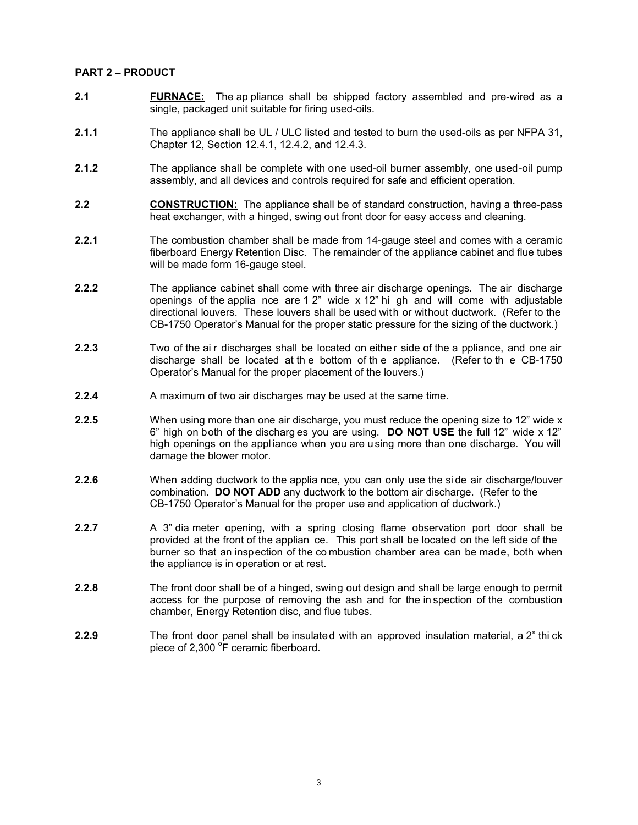#### **PART 2 – PRODUCT**

- **2.1 FURNACE:** The ap pliance shall be shipped factory assembled and pre-wired as a single, packaged unit suitable for firing used-oils.
- **2.1.1** The appliance shall be UL / ULC listed and tested to burn the used-oils as per NFPA 31, Chapter 12, Section 12.4.1, 12.4.2, and 12.4.3.
- **2.1.2** The appliance shall be complete with one used-oil burner assembly, one used-oil pump assembly, and all devices and controls required for safe and efficient operation.
- **2.2 CONSTRUCTION:** The appliance shall be of standard construction, having a three-pass heat exchanger, with a hinged, swing out front door for easy access and cleaning.
- **2.2.1** The combustion chamber shall be made from 14-gauge steel and comes with a ceramic fiberboard Energy Retention Disc. The remainder of the appliance cabinet and flue tubes will be made form 16-gauge steel.
- **2.2.2** The appliance cabinet shall come with three air discharge openings. The air discharge openings of the applia nce are  $12^{\circ}$  wide x  $12^{\circ}$  hi gh and will come with adjustable directional louvers. These louvers shall be used with or without ductwork. (Refer to the CB-1750 Operator's Manual for the proper static pressure for the sizing of the ductwork.)
- **2.2.3** Two of the ai r discharges shall be located on either side of the a ppliance, and one air discharge shall be located at th e bottom of th e appliance. (Refer to th e CB-1750 Operator's Manual for the proper placement of the louvers.)
- **2.2.4** A maximum of two air discharges may be used at the same time.
- **2.2.5** When using more than one air discharge, you must reduce the opening size to 12" wide x 6" high on both of the discharg es you are using. **DO NOT USE** the full 12" wide x 12" high openings on the appl iance when you are u sing more than one discharge. You will damage the blower motor.
- **2.2.6** When adding ductwork to the applia nce, you can only use the side air discharge/louver combination. **DO NOT ADD** any ductwork to the bottom air discharge. (Refer to the CB-1750 Operator's Manual for the proper use and application of ductwork.)
- **2.2.7** A 3" dia meter opening, with a spring closing flame observation port door shall be provided at the front of the applian ce. This port shall be located on the left side of the burner so that an inspection of the co mbustion chamber area can be made, both when the appliance is in operation or at rest.
- **2.2.8** The front door shall be of a hinged, swing out design and shall be large enough to permit access for the purpose of removing the ash and for the in spection of the combustion chamber, Energy Retention disc, and flue tubes.
- **2.2.9** The front door panel shall be insulated with an approved insulation material, a 2" thi ck piece of 2,300  $\degree$ F ceramic fiberboard.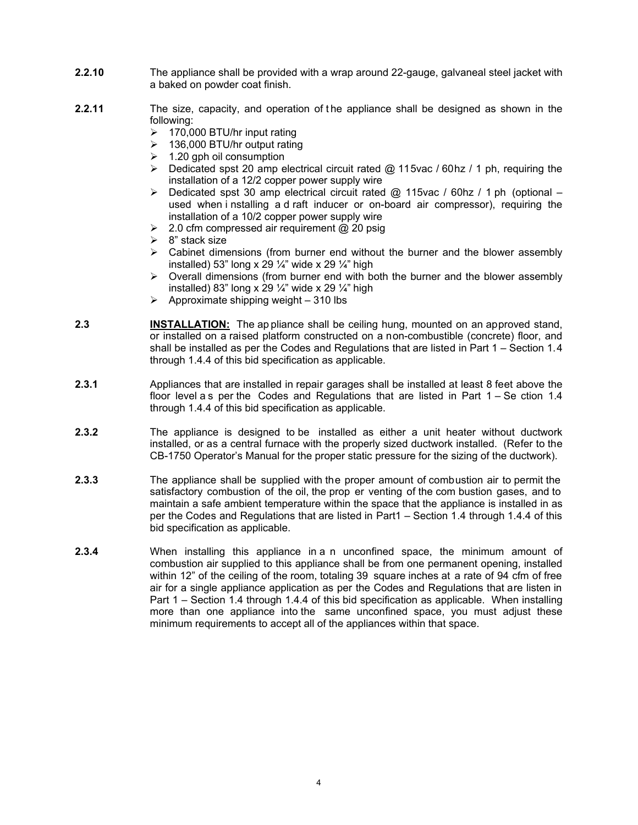- **2.2.10** The appliance shall be provided with a wrap around 22-gauge, galvaneal steel jacket with a baked on powder coat finish.
- **2.2.11** The size, capacity, and operation of the appliance shall be designed as shown in the following:
	- $\geq 170,000$  BTU/hr input rating
	- $\geq$  136,000 BTU/hr output rating
	- $\geq$  1.20 gph oil consumption
	- $\triangleright$  Dedicated spst 20 amp electrical circuit rated @ 115vac / 60hz / 1 ph, requiring the installation of a 12/2 copper power supply wire
	- $\triangleright$  Dedicated spst 30 amp electrical circuit rated  $\oslash$  115vac / 60hz / 1 ph (optional used when i nstalling a d raft inducer or on-board air compressor), requiring the installation of a 10/2 copper power supply wire
	- $\geq$  2.0 cfm compressed air requirement @ 20 psig
	- $\geq$  8" stack size
	- $\triangleright$  Cabinet dimensions (from burner end without the burner and the blower assembly installed) 53" long x 29  $\frac{1}{4}$ " wide x 29  $\frac{1}{4}$ " high
	- $\triangleright$  Overall dimensions (from burner end with both the burner and the blower assembly installed) 83" long x 29  $\frac{1}{4}$ " wide x 29  $\frac{1}{4}$ " high
	- $\triangleright$  Approximate shipping weight 310 lbs
- **2.3 INSTALLATION:** The ap pliance shall be ceiling hung, mounted on an approved stand, or installed on a raised platform constructed on a non-combustible (concrete) floor, and shall be installed as per the Codes and Regulations that are listed in Part 1 – Section 1.4 through 1.4.4 of this bid specification as applicable.
- **2.3.1** Appliances that are installed in repair garages shall be installed at least 8 feet above the floor level as per the Codes and Regulations that are listed in Part  $1 -$  Se ction  $1.4$ through 1.4.4 of this bid specification as applicable.
- **2.3.2** The appliance is designed to be installed as either a unit heater without ductwork installed, or as a central furnace with the properly sized ductwork installed. (Refer to the CB-1750 Operator's Manual for the proper static pressure for the sizing of the ductwork).
- **2.3.3** The appliance shall be supplied with the proper amount of combustion air to permit the satisfactory combustion of the oil, the prop er venting of the com bustion gases, and to maintain a safe ambient temperature within the space that the appliance is installed in as per the Codes and Regulations that are listed in Part1 – Section 1.4 through 1.4.4 of this bid specification as applicable.
- **2.3.4** When installing this appliance in a n unconfined space, the minimum amount of combustion air supplied to this appliance shall be from one permanent opening, installed within 12" of the ceiling of the room, totaling 39 square inches at a rate of 94 cfm of free air for a single appliance application as per the Codes and Regulations that are listen in Part 1 – Section 1.4 through 1.4.4 of this bid specification as applicable. When installing more than one appliance into the same unconfined space, you must adjust these minimum requirements to accept all of the appliances within that space.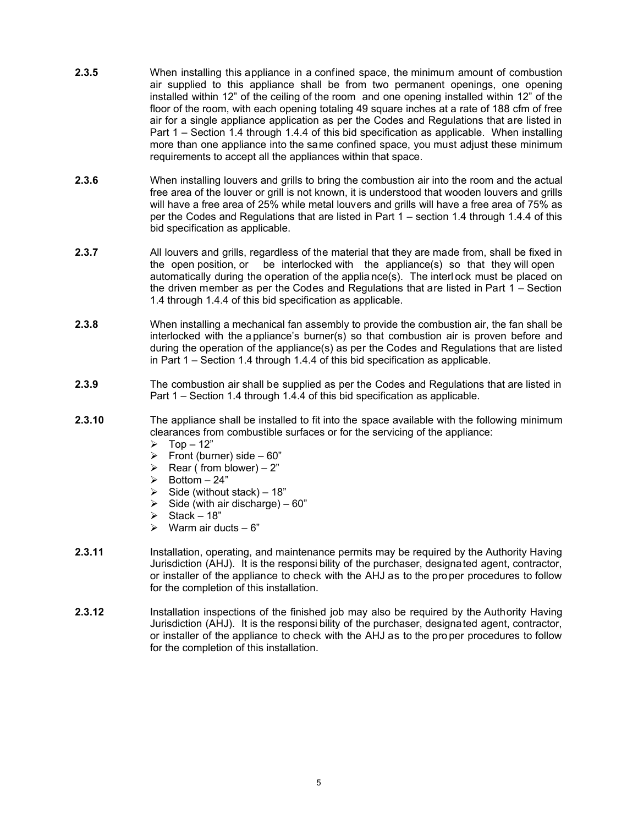- **2.3.5** When installing this appliance in a confined space, the minimum amount of combustion air supplied to this appliance shall be from two permanent openings, one opening installed within 12" of the ceiling of the room and one opening installed within 12" of the floor of the room, with each opening totaling 49 square inches at a rate of 188 cfm of free air for a single appliance application as per the Codes and Regulations that are listed in Part 1 – Section 1.4 through 1.4.4 of this bid specification as applicable. When installing more than one appliance into the same confined space, you must adjust these minimum requirements to accept all the appliances within that space.
- **2.3.6** When installing louvers and grills to bring the combustion air into the room and the actual free area of the louver or grill is not known, it is understood that wooden louvers and grills will have a free area of 25% while metal louvers and grills will have a free area of 75% as per the Codes and Regulations that are listed in Part 1 – section 1.4 through 1.4.4 of this bid specification as applicable.
- **2.3.7** All louvers and grills, regardless of the material that they are made from, shall be fixed in the open position, or be interlocked with the appliance(s) so that they will open automatically during the operation of the applia nce(s). The interl ock must be placed on the driven member as per the Codes and Regulations that are listed in Part 1 – Section 1.4 through 1.4.4 of this bid specification as applicable.
- **2.3.8** When installing a mechanical fan assembly to provide the combustion air, the fan shall be interlocked with the a ppliance's burner(s) so that combustion air is proven before and during the operation of the appliance(s) as per the Codes and Regulations that are listed in Part 1 – Section 1.4 through 1.4.4 of this bid specification as applicable.
- **2.3.9** The combustion air shall be supplied as per the Codes and Regulations that are listed in Part 1 – Section 1.4 through 1.4.4 of this bid specification as applicable.
- **2.3.10** The appliance shall be installed to fit into the space available with the following minimum clearances from combustible surfaces or for the servicing of the appliance:
	- $\geq$  Top 12"<br> $\geq$  Front (bur
	- ¾ Front (burner) side 60"
	- ≻ Rear ( from blower) 2"<br>► Bottom 24"
	- $\geq$  Bottom 24"<br> $\geq$  Side (without
	- Side (without stack) 18"
	- $\triangleright$  Side (with air discharge) 60"
	- $\triangleright$  Stack 18"
	- $\triangleright$  Warm air ducts 6"
- **2.3.11** Installation, operating, and maintenance permits may be required by the Authority Having Jurisdiction (AHJ). It is the responsi bility of the purchaser, designated agent, contractor, or installer of the appliance to check with the AHJ as to the pro per procedures to follow for the completion of this installation.
- **2.3.12** Installation inspections of the finished job may also be required by the Authority Having Jurisdiction (AHJ). It is the responsi bility of the purchaser, designated agent, contractor, or installer of the appliance to check with the AHJ as to the pro per procedures to follow for the completion of this installation.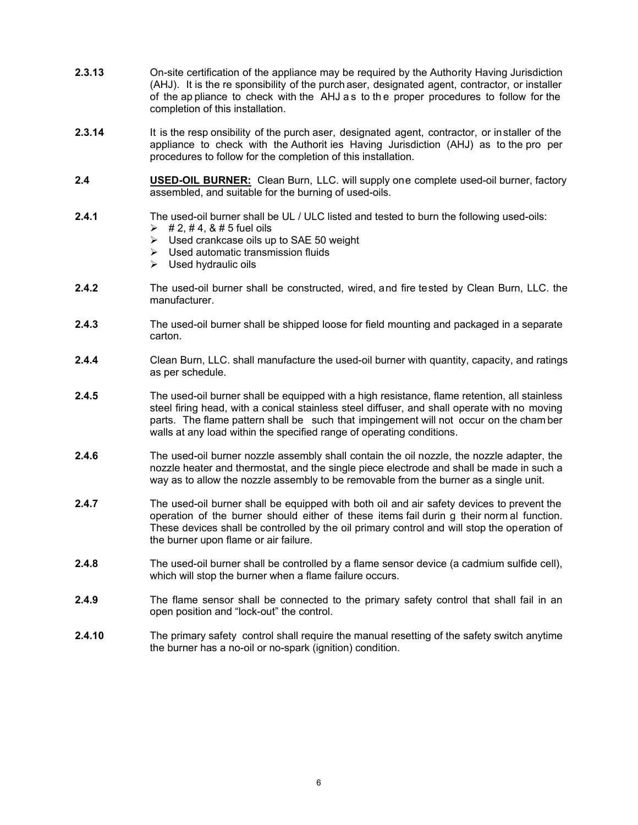- **2.3.13** On-site certification of the appliance may be required by the Authority Having Jurisdiction (AHJ). It is the re sponsibility of the purch aser, designated agent, contractor, or installer of the ap pliance to check with the AHJ a s to th e proper procedures to follow for the completion of this installation.
- **2.3.14** It is the resp onsibility of the purch aser, designated agent, contractor, or installer of the appliance to check with the Authorit ies Having Jurisdiction (AHJ) as to the pro per procedures to follow for the completion of this installation.
- **2.4 USED-OIL BURNER:** Clean Burn, LLC. will supply one complete used-oil burner, factory assembled, and suitable for the burning of used-oils.
- **2.4.1** The used-oil burner shall be UL / ULC listed and tested to burn the following used-oils:
	- $\geq$  # 2, # 4, & # 5 fuel oils
	- $\triangleright$  Used crankcase oils up to SAE 50 weight
	- $\triangleright$  Used automatic transmission fluids
	- $\triangleright$  Used hydraulic oils
- **2.4.2** The used-oil burner shall be constructed, wired, and fire tested by Clean Burn, LLC. the manufacturer.
- **2.4.3** The used-oil burner shall be shipped loose for field mounting and packaged in a separate carton.
- **2.4.4** Clean Burn, LLC. shall manufacture the used-oil burner with quantity, capacity, and ratings as per schedule.
- **2.4.5** The used-oil burner shall be equipped with a high resistance, flame retention, all stainless steel firing head, with a conical stainless steel diffuser, and shall operate with no moving parts. The flame pattern shall be such that impingement will not occur on the cham ber walls at any load within the specified range of operating conditions.
- **2.4.6** The used-oil burner nozzle assembly shall contain the oil nozzle, the nozzle adapter, the nozzle heater and thermostat, and the single piece electrode and shall be made in such a way as to allow the nozzle assembly to be removable from the burner as a single unit.
- **2.4.7** The used-oil burner shall be equipped with both oil and air safety devices to prevent the operation of the burner should either of these items fail durin g their norm al function. These devices shall be controlled by the oil primary control and will stop the operation of the burner upon flame or air failure.
- **2.4.8** The used-oil burner shall be controlled by a flame sensor device (a cadmium sulfide cell), which will stop the burner when a flame failure occurs.
- **2.4.9** The flame sensor shall be connected to the primary safety control that shall fail in an open position and "lock-out" the control.
- **2.4.10** The primary safety control shall require the manual resetting of the safety switch anytime the burner has a no-oil or no-spark (ignition) condition.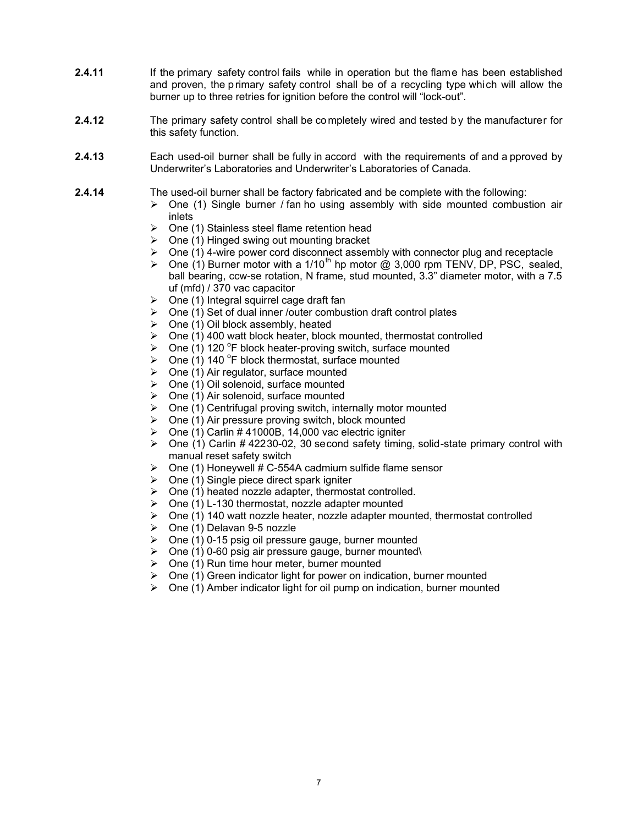- **2.4.11** If the primary safety control fails while in operation but the flame has been established and proven, the primary safety control shall be of a recycling type which will allow the burner up to three retries for ignition before the control will "lock-out".
- **2.4.12** The primary safety control shall be completely wired and tested by the manufacturer for this safety function.
- **2.4.13** Each used-oil burner shall be fully in accord with the requirements of and a pproved by Underwriter's Laboratories and Underwriter's Laboratories of Canada.
- **2.4.14** The used-oil burner shall be factory fabricated and be complete with the following:
	- $\triangleright$  One (1) Single burner / fan ho using assembly with side mounted combustion air inlets
	- $\triangleright$  One (1) Stainless steel flame retention head
	- $\triangleright$  One (1) Hinged swing out mounting bracket
	- $\triangleright$  One (1) 4-wire power cord disconnect assembly with connector plug and receptacle
	- ightharpoone (1) Burner motor with a 1/10<sup>th</sup> hp motor  $\hat{\omega}$  3,000 rpm TENV, DP, PSC, sealed, ball bearing, ccw-se rotation, N frame, stud mounted, 3.3" diameter motor, with a 7.5 uf (mfd) / 370 vac capacitor
	- $\triangleright$  One (1) Integral squirrel cage draft fan
	- $\triangleright$  One (1) Set of dual inner /outer combustion draft control plates
	- $\triangleright$  One (1) Oil block assembly, heated
	- ▶ One (1) 400 watt block heater, block mounted, thermostat controlled<br>► One (1) 120 °F block heater-proving switch surface mounted
	- $\triangleright$  One (1) 120 °F block heater-proving switch, surface mounted
	- $\triangleright$  One (1) 140 °F block thermostat, surface mounted
	- $\triangleright$  One (1) Air regulator, surface mounted
	- $\triangleright$  One (1) Oil solenoid, surface mounted
	- $\triangleright$  One (1) Air solenoid, surface mounted
	- $\triangleright$  One (1) Centrifugal proving switch, internally motor mounted
	- $\triangleright$  One (1) Air pressure proving switch, block mounted
	- $\geq$  One (1) Carlin # 41000B, 14,000 vac electric igniter
	- $\triangleright$  One (1) Carlin # 42230-02, 30 second safety timing, solid-state primary control with manual reset safety switch
	- $\geq$  One (1) Honeywell # C-554A cadmium sulfide flame sensor
	- $\triangleright$  One (1) Single piece direct spark igniter
	- $\triangleright$  One (1) heated nozzle adapter, thermostat controlled.
	- $\triangleright$  One (1) L-130 thermostat, nozzle adapter mounted
	- $\triangleright$  One (1) 140 watt nozzle heater, nozzle adapter mounted, thermostat controlled
	- $\geq$  One (1) Delavan 9-5 nozzle
	- $\geq$  One (1) 0-15 psig oil pressure gauge, burner mounted
	- $\triangleright$  One (1) 0-60 psig air pressure gauge, burner mounted
	- $\geq$  One (1) Run time hour meter, burner mounted
	- $\triangleright$  One (1) Green indicator light for power on indication, burner mounted
	- $\triangleright$  One (1) Amber indicator light for oil pump on indication, burner mounted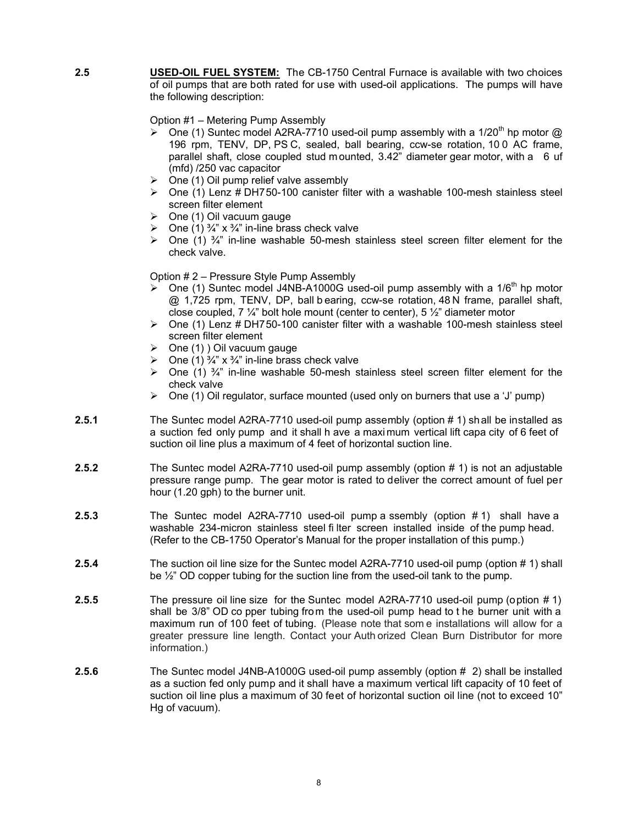**2.5 USED-OIL FUEL SYSTEM:** The CB-1750 Central Furnace is available with two choices of oil pumps that are both rated for use with used-oil applications. The pumps will have the following description:

Option #1 – Metering Pump Assembly

- $\geq$  One (1) Suntec model A2RA-7710 used-oil pump assembly with a 1/20<sup>th</sup> hp motor @ 196 rpm, TENV, DP, PS C, sealed, ball bearing, ccw-se rotation, 10 0 AC frame, parallel shaft, close coupled stud m ounted, 3.42" diameter gear motor, with a 6 uf (mfd) /250 vac capacitor
- $\triangleright$  One (1) Oil pump relief valve assembly
- $\geq$  One (1) Lenz # DH750-100 canister filter with a washable 100-mesh stainless steel screen filter element
- $\triangleright$  One (1) Oil vacuum gauge
- $\triangleright$  One (1)  $\frac{3}{4}$ " x  $\frac{3}{4}$ " in-line brass check valve
- **►** One (1)  $\frac{3}{4}$ " in-line washable 50-mesh stainless steel screen filter element for the check valve.

Option # 2 – Pressure Style Pump Assembly

- $\geq$  One (1) Suntec model J4NB-A1000G used-oil pump assembly with a 1/6<sup>th</sup> hp motor @ 1,725 rpm, TENV, DP, ball b earing, ccw-se rotation, 48 N frame, parallel shaft, close coupled, 7  $\frac{1}{4}$ " bolt hole mount (center to center), 5  $\frac{1}{2}$ " diameter motor
- $\triangleright$  One (1) Lenz # DH750-100 canister filter with a washable 100-mesh stainless steel screen filter element
- $\triangleright$  One (1) ) Oil vacuum gauge
- $\triangleright$  One (1)  $\frac{3}{4}$ " x  $\frac{3}{4}$ " in-line brass check valve
- **►** One (1)  $\frac{3}{4}$ " in-line washable 50-mesh stainless steel screen filter element for the check valve
- $\triangleright$  One (1) Oil regulator, surface mounted (used only on burners that use a 'J' pump)
- **2.5.1** The Suntec model A2RA-7710 used-oil pump assembly (option # 1) shall be installed as a suction fed only pump and it shall h ave a maxi mum vertical lift capa city of 6 feet of suction oil line plus a maximum of 4 feet of horizontal suction line.
- **2.5.2** The Suntec model A2RA-7710 used-oil pump assembly (option # 1) is not an adjustable pressure range pump. The gear motor is rated to deliver the correct amount of fuel per hour (1.20 gph) to the burner unit.
- **2.5.3** The Suntec model A2RA-7710 used-oil pump a ssembly (option # 1) shall have a washable 234-micron stainless steel fi lter screen installed inside of the pump head. (Refer to the CB-1750 Operator's Manual for the proper installation of this pump.)
- **2.5.4** The suction oil line size for the Suntec model A2RA-7710 used-oil pump (option # 1) shall be ½" OD copper tubing for the suction line from the used-oil tank to the pump.
- **2.5.5** The pressure oil line size for the Suntec model A2RA-7710 used-oil pump (option # 1) shall be 3/8" OD co pper tubing from the used-oil pump head to t he burner unit with a maximum run of 100 feet of tubing. (Please note that som e installations will allow for a greater pressure line length. Contact your Auth orized Clean Burn Distributor for more information.)
- **2.5.6** The Suntec model J4NB-A1000G used-oil pump assembly (option # 2) shall be installed as a suction fed only pump and it shall have a maximum vertical lift capacity of 10 feet of suction oil line plus a maximum of 30 feet of horizontal suction oil line (not to exceed 10" Hg of vacuum).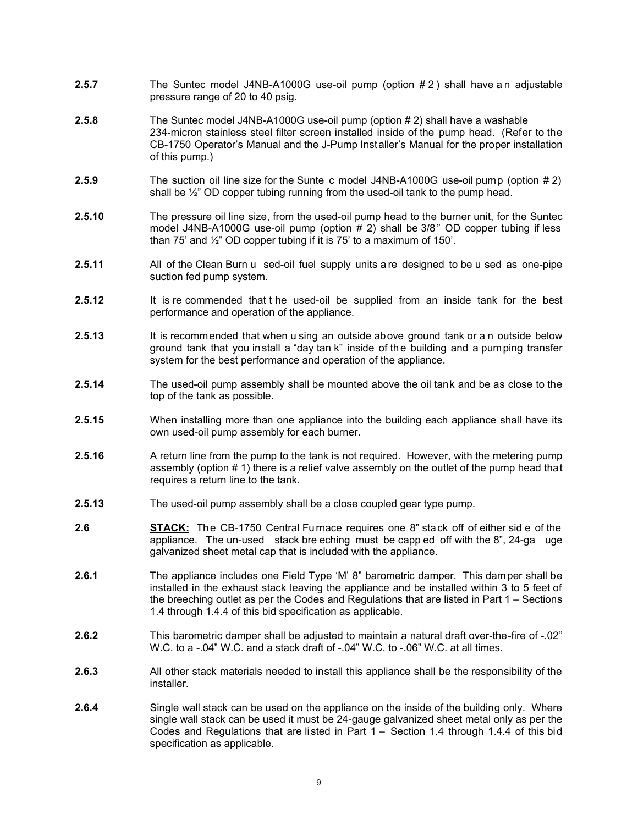- **2.5.7** The Suntec model J4NB-A1000G use-oil pump (option #2) shall have an adjustable pressure range of 20 to 40 psig.
- **2.5.8** The Suntec model J4NB-A1000G use-oil pump (option # 2) shall have a washable 234-micron stainless steel filter screen installed inside of the pump head. (Refer to the CB-1750 Operator's Manual and the J-Pump Installer's Manual for the proper installation of this pump.)
- **2.5.9** The suction oil line size for the Sunte c model J4NB-A1000G use-oil pump (option # 2) shall be  $\frac{1}{2}$ " OD copper tubing running from the used-oil tank to the pump head.
- **2.5.10** The pressure oil line size, from the used-oil pump head to the burner unit, for the Suntec model J4NB-A1000G use-oil pump (option # 2) shall be 3/8" OD copper tubing if less than 75' and ½" OD copper tubing if it is 75' to a maximum of 150'.
- **2.5.11** All of the Clean Burn u sed-oil fuel supply units a re designed to be u sed as one-pipe suction fed pump system.
- **2.5.12** It is re commended that t he used-oil be supplied from an inside tank for the best performance and operation of the appliance.
- **2.5.13** It is recommended that when u sing an outside above ground tank or a n outside below ground tank that you install a "day tan k" inside of the building and a pumping transfer system for the best performance and operation of the appliance.
- **2.5.14** The used-oil pump assembly shall be mounted above the oil tank and be as close to the top of the tank as possible.
- **2.5.15** When installing more than one appliance into the building each appliance shall have its own used-oil pump assembly for each burner.
- **2.5.16** A return line from the pump to the tank is not required. However, with the metering pump assembly (option # 1) there is a relief valve assembly on the outlet of the pump head that requires a return line to the tank.
- **2.5.13** The used-oil pump assembly shall be a close coupled gear type pump.
- 2.6 **STACK:** The CB-1750 Central Furnace requires one 8" stack off of either sid e of the appliance. The un-used stack bre eching must be capp ed off with the 8", 24-ga uge galvanized sheet metal cap that is included with the appliance.
- **2.6.1** The appliance includes one Field Type 'M' 8" barometric damper. This damper shall be installed in the exhaust stack leaving the appliance and be installed within 3 to 5 feet of the breeching outlet as per the Codes and Regulations that are listed in Part 1 – Sections 1.4 through 1.4.4 of this bid specification as applicable.
- **2.6.2** This barometric damper shall be adjusted to maintain a natural draft over-the-fire of -.02" W.C. to a -.04" W.C. and a stack draft of -.04" W.C. to -.06" W.C. at all times.
- **2.6.3** All other stack materials needed to install this appliance shall be the responsibility of the installer.
- **2.6.4** Single wall stack can be used on the appliance on the inside of the building only. Where single wall stack can be used it must be 24-gauge galvanized sheet metal only as per the Codes and Regulations that are listed in Part 1 – Section 1.4 through 1.4.4 of this bid specification as applicable.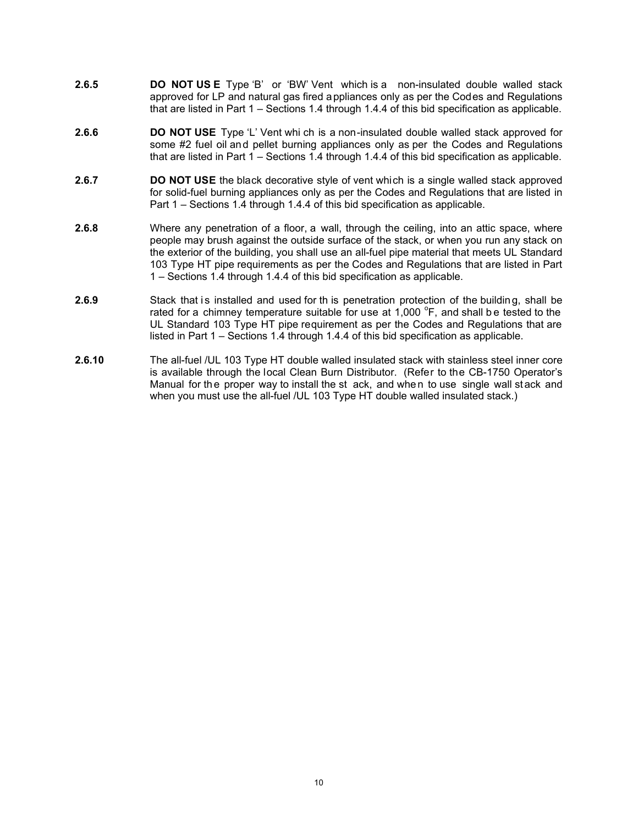- **2.6.5 DO NOT US E** Type 'B' or 'BW' Vent which is a non-insulated double walled stack approved for LP and natural gas fired appliances only as per the Codes and Regulations that are listed in Part 1 – Sections 1.4 through 1.4.4 of this bid specification as applicable.
- **2.6.6 DO NOT USE** Type 'L' Vent whi ch is a non-insulated double walled stack approved for some #2 fuel oil and pellet burning appliances only as per the Codes and Regulations that are listed in Part 1 – Sections 1.4 through 1.4.4 of this bid specification as applicable.
- **2.6.7 DO NOT USE** the black decorative style of vent which is a single walled stack approved for solid-fuel burning appliances only as per the Codes and Regulations that are listed in Part 1 – Sections 1.4 through 1.4.4 of this bid specification as applicable.
- **2.6.8** Where any penetration of a floor, a wall, through the ceiling, into an attic space, where people may brush against the outside surface of the stack, or when you run any stack on the exterior of the building, you shall use an all-fuel pipe material that meets UL Standard 103 Type HT pipe requirements as per the Codes and Regulations that are listed in Part 1 – Sections 1.4 through 1.4.4 of this bid specification as applicable.
- **2.6.9** Stack that is installed and used for th is penetration protection of the building, shall be rated for a chimney temperature suitable for use at 1,000  $\textdegree$ F, and shall be tested to the UL Standard 103 Type HT pipe requirement as per the Codes and Regulations that are listed in Part 1 – Sections 1.4 through 1.4.4 of this bid specification as applicable.
- **2.6.10** The all-fuel /UL 103 Type HT double walled insulated stack with stainless steel inner core is available through the local Clean Burn Distributor. (Refer to the CB-1750 Operator's Manual for the proper way to install the st ack, and when to use single wall stack and when you must use the all-fuel /UL 103 Type HT double walled insulated stack.)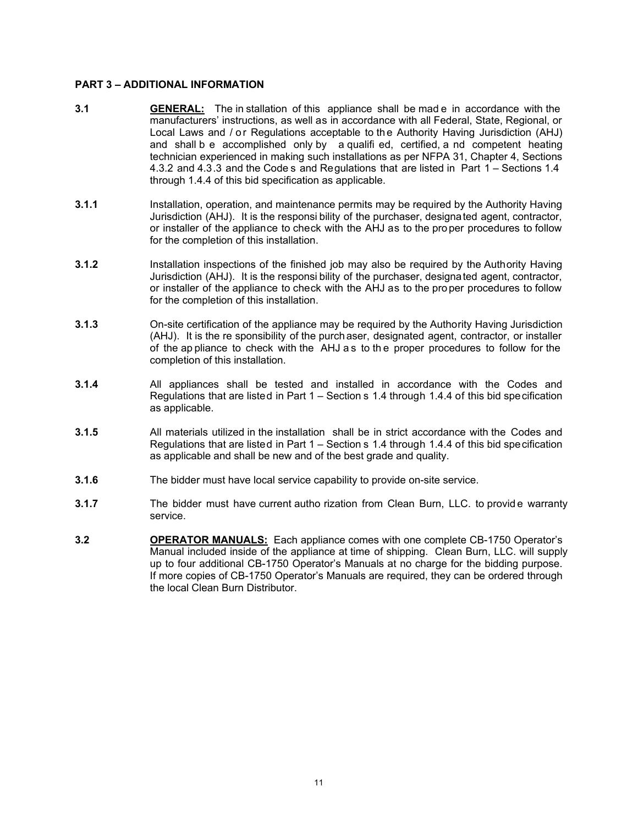#### **PART 3 – ADDITIONAL INFORMATION**

- **3.1 GENERAL:** The in stallation of this appliance shall be mad e in accordance with the manufacturers' instructions, as well as in accordance with all Federal, State, Regional, or Local Laws and / or Regulations acceptable to the Authority Having Jurisdiction (AHJ) and shall b e accomplished only by a qualifi ed, certified, a nd competent heating technician experienced in making such installations as per NFPA 31, Chapter 4, Sections 4.3.2 and 4.3.3 and the Code s and Regulations that are listed in Part 1 – Sections 1.4 through 1.4.4 of this bid specification as applicable.
- **3.1.1** Installation, operation, and maintenance permits may be required by the Authority Having Jurisdiction (AHJ). It is the responsi bility of the purchaser, designated agent, contractor, or installer of the appliance to check with the AHJ as to the pro per procedures to follow for the completion of this installation.
- **3.1.2** Installation inspections of the finished job may also be required by the Authority Having Jurisdiction (AHJ). It is the responsi bility of the purchaser, designated agent, contractor, or installer of the appliance to check with the AHJ as to the pro per procedures to follow for the completion of this installation.
- **3.1.3** On-site certification of the appliance may be required by the Authority Having Jurisdiction (AHJ). It is the re sponsibility of the purch aser, designated agent, contractor, or installer of the ap pliance to check with the AHJ a s to th e proper procedures to follow for the completion of this installation.
- **3.1.4** All appliances shall be tested and installed in accordance with the Codes and Regulations that are listed in Part 1 – Section s 1.4 through 1.4.4 of this bid specification as applicable.
- **3.1.5** All materials utilized in the installation shall be in strict accordance with the Codes and Regulations that are listed in Part 1 – Section s 1.4 through 1.4.4 of this bid specification as applicable and shall be new and of the best grade and quality.
- **3.1.6** The bidder must have local service capability to provide on-site service.
- **3.1.7** The bidder must have current autho rization from Clean Burn, LLC. to provid e warranty service.
- **3.2 OPERATOR MANUALS:** Each appliance comes with one complete CB-1750 Operator's Manual included inside of the appliance at time of shipping. Clean Burn, LLC. will supply up to four additional CB-1750 Operator's Manuals at no charge for the bidding purpose. If more copies of CB-1750 Operator's Manuals are required, they can be ordered through the local Clean Burn Distributor.